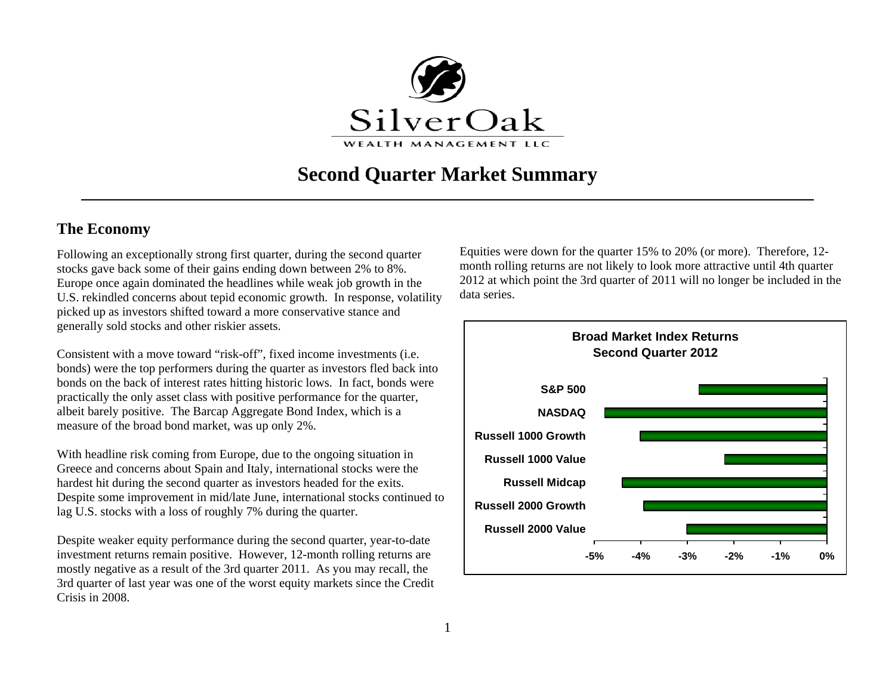

# **Second Quarter Market Summary**

# **The Economy**

Following an exceptionally strong first quarter, during the second quarter stocks gave back some of their gains ending down between 2% to 8%. Europe once again dominated the headlines while weak job growth in the U.S. rekindled concerns about tepid economic growth. In response, volatility picked up as investors shifted toward a more conservative stance and generally sold stocks and other riskier assets.

Consistent with a move toward "risk-off", fixed income investments (i.e. bonds) were the top performers during the quarter as investors fled back into bonds on the back of interest rates hitting historic lows. In fact, bonds were practically the only asset class with positive performance for the quarter, albeit barely positive. The Barcap Aggregate Bond Index, which is a measure of the broad bond market, was up only 2%.

With headline risk coming from Europe, due to the ongoing situation in Greece and concerns about Spain and Italy, international stocks were the hardest hit during the second quarter as investors headed for the exits. Despite some improvement in mid/late June, international stocks continued to lag U.S. stocks with a loss of roughly 7% during the quarter.

Despite weaker equity performance during the second quarter, year-to-date investment returns remain positive. However, 12-month rolling returns are mostly negative as a result of the 3rd quarter 2011. As you may recall, the 3rd quarter of last year was one of the worst equity markets since the Credit Crisis in 2008.

Equities were down for the quarter 15% to 20% (or more). Therefore, 12 month rolling returns are not likely to look more attractive until 4th quarter 2012 at which point the 3rd quarter of 2011 will no longer be included in the data series.

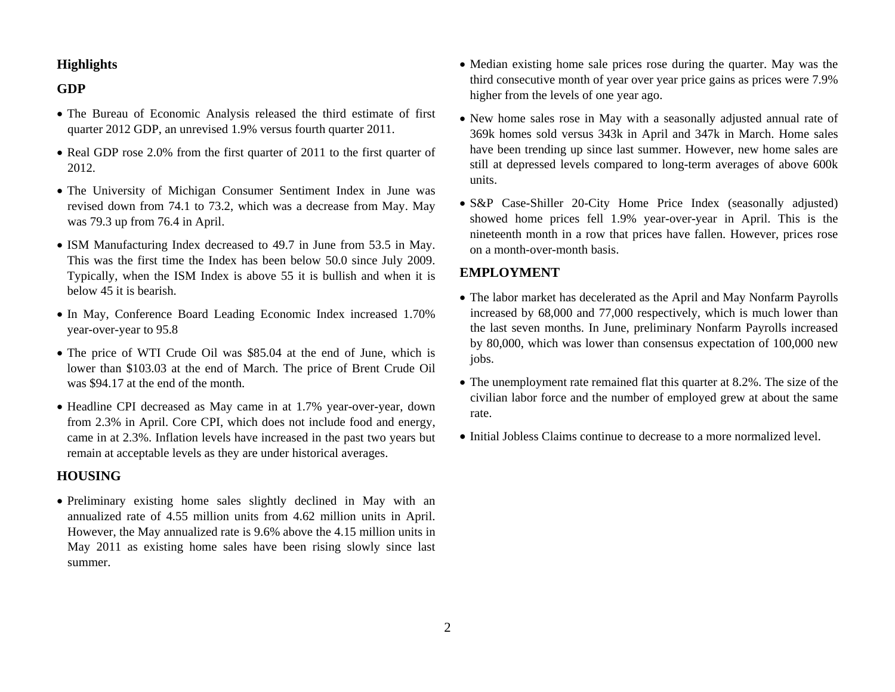#### **Highlights**

#### **GDP**

- The Bureau of Economic Analysis released the third estimate of first quarter 2012 GDP, an unrevised 1.9% versus fourth quarter 2011.
- Real GDP rose 2.0% from the first quarter of 2011 to the first quarter of 2012.
- The University of Michigan Consumer Sentiment Index in June was revised down from 74.1 to 73.2, which was a decrease from May. May was 79.3 up from 76.4 in April.
- ISM Manufacturing Index decreased to 49.7 in June from 53.5 in May. This was the first time the Index has been below 50.0 since July 2009. Typically, when the ISM Index is above 55 it is bullish and when it is below 45 it is bearish.
- In May, Conference Board Leading Economic Index increased 1.70% year-over-year to 95.8
- The price of WTI Crude Oil was \$85.04 at the end of June, which is lower than \$103.03 at the end of March. The price of Brent Crude Oil was \$94.17 at the end of the month.
- Headline CPI decreased as May came in at 1.7% year-over-year, down from 2.3% in April. Core CPI, which does not include food and energy, came in at 2.3%. Inflation levels have increased in the past two years but remain at acceptable levels as they are under historical averages.

#### **HOUSING**

• Preliminary existing home sales slightly declined in May with an annualized rate of 4.55 million units from 4.62 million units in April. However, the May annualized rate is 9.6% above the 4.15 million units in May 2011 as existing home sales have been rising slowly since last summer.

- Median existing home sale prices rose during the quarter. May was the third consecutive month of year over year price gains as prices were 7.9% higher from the levels of one year ago.
- New home sales rose in May with a seasonally adjusted annual rate of 369k homes sold versus 343k in April and 347k in March. Home sales have been trending up since last summer. However, new home sales are still at depressed levels compared to long-term averages of above 600k units.
- S&P Case-Shiller 20-City Home Price Index (seasonally adjusted) showed home prices fell 1.9% year-over-year in April. This is the nineteenth month in a row that prices have fallen. However, prices rose on a month-over-month basis.

### **EMPLOYMENT**

- The labor market has decelerated as the April and May Nonfarm Payrolls increased by 68,000 and 77,000 respectively, which is much lower than the last seven months. In June, preliminary Nonfarm Payrolls increased by 80,000, which was lower than consensus expectation of 100,000 new jobs.
- The unemployment rate remained flat this quarter at 8.2%. The size of the civilian labor force and the number of employed grew at about the same rate.
- Initial Jobless Claims continue to decrease to a more normalized level.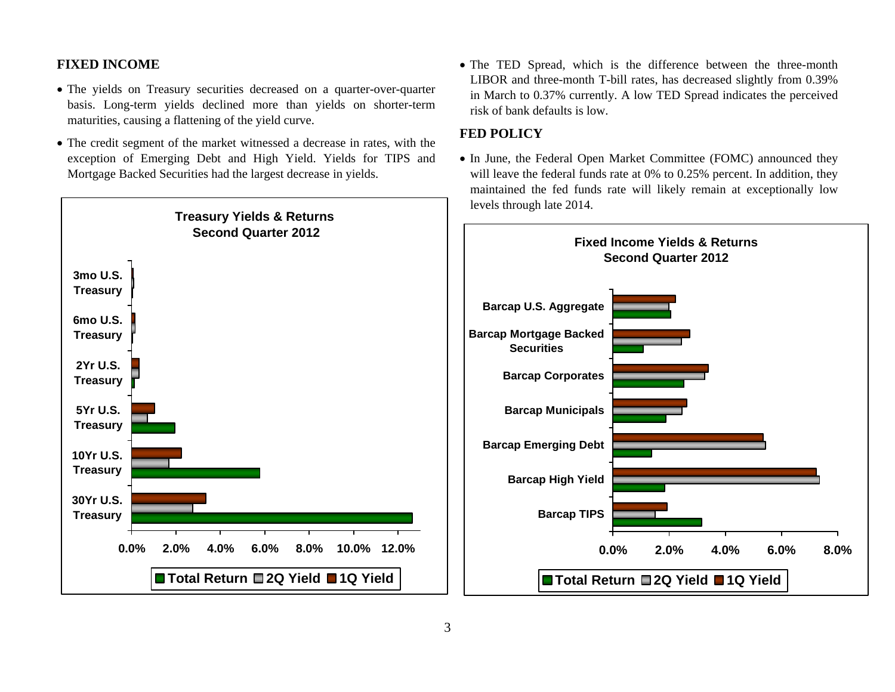#### **FIXED INCOME**

- The yields on Treasury securities decreased on a quarter-over-quarter basis. Long-term yields declined more than yields on shorter-term maturities, causing a flattening of the yield curve.
- The credit segment of the market witnessed a decrease in rates, with the exception of Emerging Debt and High Yield. Yields for TIPS and Mortgage Backed Securities had the largest decrease in yields.



• The TED Spread, which is the difference between the three-month LIBOR and three-month T-bill rates, has decreased slightly from 0.39% in March to 0.37% currently. A low TED Spread indicates the perceived risk of bank defaults is low.

# **FED POLICY**

• In June, the Federal Open Market Committee (FOMC) announced they will leave the federal funds rate at 0% to 0.25% percent. In addition, they maintained the fed funds rate will likely remain at exceptionally low levels through late 2014.